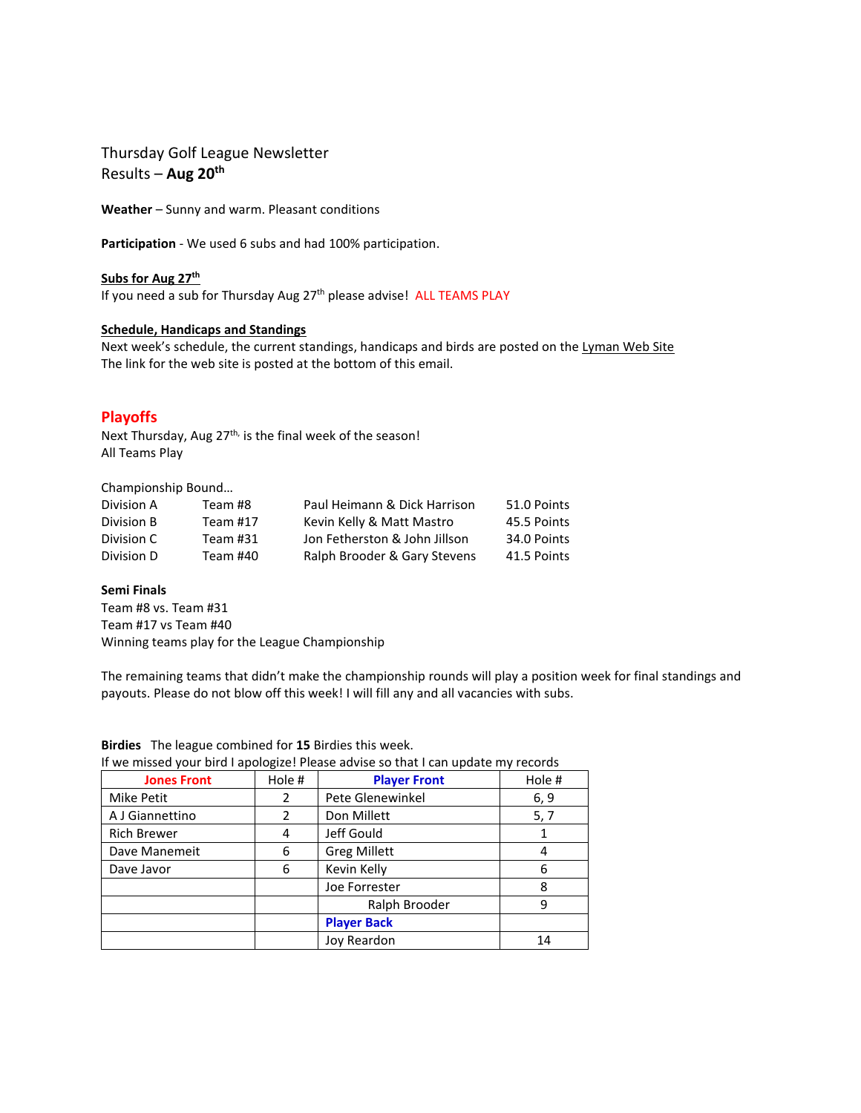Thursday Golf League Newsletter Results – **Aug 20th**

**Weather** – Sunny and warm. Pleasant conditions

**Participation** - We used 6 subs and had 100% participation.

**Subs for Aug 27 th** If you need a sub for Thursday Aug 27<sup>th</sup> please advise! ALL TEAMS PLAY

### **Schedule, Handicaps and Standings**

Next week's schedule, the current standings, handicaps and birds are posted on the Lyman Web Site The link for the web site is posted at the bottom of this email.

# **Playoffs**

Next Thursday, Aug 27<sup>th,</sup> is the final week of the season! All Teams Play

Championship Bound…

| Division A | Team #8  | Paul Heimann & Dick Harrison  | 51.0 Points |
|------------|----------|-------------------------------|-------------|
| Division B | Team #17 | Kevin Kelly & Matt Mastro     | 45.5 Points |
| Division C | Team #31 | Jon Fetherston & John Jillson | 34.0 Points |
| Division D | Team #40 | Ralph Brooder & Gary Stevens  | 41.5 Points |

### **Semi Finals**

Team #8 vs. Team #31 Team #17 vs Team #40 Winning teams play for the League Championship

The remaining teams that didn't make the championship rounds will play a position week for final standings and payouts. Please do not blow off this week! I will fill any and all vacancies with subs.

|                    |        | If we missed your bird I apologize! Please advise so that I can update my records |        |
|--------------------|--------|-----------------------------------------------------------------------------------|--------|
| <b>Jones Front</b> | Hole # | <b>Player Front</b>                                                               | Hole # |
| Mike Petit         | 2      | Pete Glenewinkel                                                                  | 6, 9   |
| A J Giannettino    | 2      | Don Millett                                                                       | 5, 7   |
| <b>Rich Brewer</b> | 4      | Jeff Gould                                                                        |        |
| Dave Manemeit      | 6      | <b>Greg Millett</b>                                                               |        |
| Dave Javor         | 6      | Kevin Kelly                                                                       | 6      |
|                    |        | Joe Forrester                                                                     | 8      |
|                    |        | Ralph Brooder                                                                     | 9      |
|                    |        | <b>Player Back</b>                                                                |        |
|                    |        | Joy Reardon                                                                       | 14     |

**Birdies** The league combined for **15** Birdies this week. .<br>r hird I anologize! Please advise